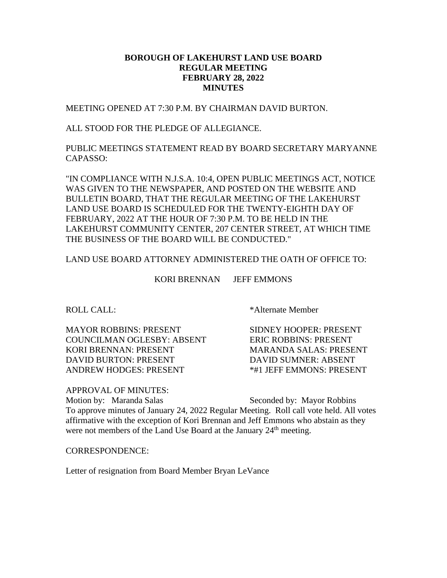## **BOROUGH OF LAKEHURST LAND USE BOARD REGULAR MEETING FEBRUARY 28, 2022 MINUTES**

MEETING OPENED AT 7:30 P.M. BY CHAIRMAN DAVID BURTON.

ALL STOOD FOR THE PLEDGE OF ALLEGIANCE.

PUBLIC MEETINGS STATEMENT READ BY BOARD SECRETARY MARYANNE CAPASSO:

"IN COMPLIANCE WITH N.J.S.A. 10:4, OPEN PUBLIC MEETINGS ACT, NOTICE WAS GIVEN TO THE NEWSPAPER, AND POSTED ON THE WEBSITE AND BULLETIN BOARD, THAT THE REGULAR MEETING OF THE LAKEHURST LAND USE BOARD IS SCHEDULED FOR THE TWENTY-EIGHTH DAY OF FEBRUARY, 2022 AT THE HOUR OF 7:30 P.M. TO BE HELD IN THE LAKEHURST COMMUNITY CENTER, 207 CENTER STREET, AT WHICH TIME THE BUSINESS OF THE BOARD WILL BE CONDUCTED."

LAND USE BOARD ATTORNEY ADMINISTERED THE OATH OF OFFICE TO:

KORI BRENNAN JEFF EMMONS

MAYOR ROBBINS: PRESENT SIDNEY HOOPER: PRESENT COUNCILMAN OGLESBY: ABSENT ERIC ROBBINS: PRESENT KORI BRENNAN: PRESENT MARANDA SALAS: PRESENT DAVID BURTON: PRESENT DAVID SUMNER: ABSENT ANDREW HODGES: PRESENT  $*$ #1 JEFF EMMONS: PRESENT

ROLL CALL: \* Alternate Member

APPROVAL OF MINUTES:

Motion by: Maranda Salas Seconded by: Mayor Robbins To approve minutes of January 24, 2022 Regular Meeting. Roll call vote held. All votes affirmative with the exception of Kori Brennan and Jeff Emmons who abstain as they were not members of the Land Use Board at the January  $24<sup>th</sup>$  meeting.

CORRESPONDENCE:

Letter of resignation from Board Member Bryan LeVance